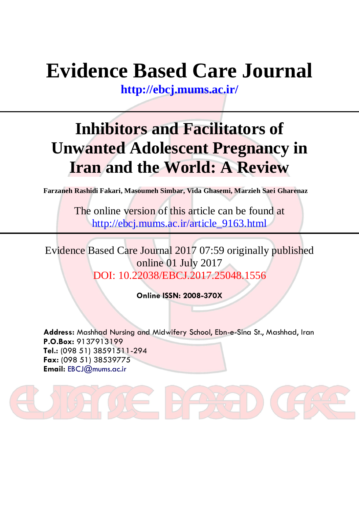# **Evidence Based Care Journal**

**<http://ebcj.mums.ac.ir/>**

# **Inhibitors and Facilitators of Unwanted Adolescent Pregnancy in Iran and the World: A Review**

**Farzaneh Rashidi Fakari, Masoumeh Simbar, Vida Ghasemi, Marzieh Saei Gharenaz**

The online version of this article can be found at http://ebcj.mums.ac.ir/article\_9163.html

Evidence Based Care Journal 2017 07:59 originally published online 01 July 2017 DOI: 10.22038/EBCJ.2017.25048.1556

**Online ISSN: 2008-370X**

**Address:** Mashhad Nursing and Midwifery School, Ebn-e-Sina St., Mashhad, Iran **P.O.Box:** 9137913199 **Tel.:** (098 51) 38591511-294 **Fax:** (098 51) 38539775 **Email:** [EBCJ@mums.ac.ir](mailto:EBCJ@mums.ac.ir)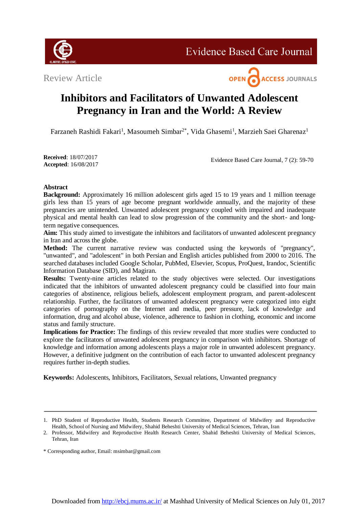

**Evidence Based Care Journal** 

Review Article



# **Inhibitors and Facilitators of Unwanted Adolescent Pregnancy in Iran and the World: A Review**

Farzaneh Rashidi Fakari<sup>1</sup>, Masoumeh Simbar<sup>2\*</sup>, Vida Ghasemi<sup>1</sup>, Marzieh Saei Gharenaz<sup>1</sup>

**Received**: 18/07/2017 **Accepted**: 16/08/2017

Evidence Based Care Journal, 7 (2): 59-70

# **Abstract**

**Background:** Approximately 16 million adolescent girls aged 15 to 19 years and 1 million teenage girls less than 15 years of age become pregnant worldwide annually, and the majority of these pregnancies are unintended. Unwanted adolescent pregnancy coupled with impaired and inadequate physical and mental health can lead to slow progression of the community and the short- and longterm negative consequences.

**Aim:** This study aimed to investigate the inhibitors and facilitators of unwanted adolescent pregnancy in Iran and across the globe.

**Method:** The current narrative review was conducted using the keywords of "pregnancy", "unwanted", and "adolescent" in both Persian and English articles published from 2000 to 2016. The searched databases included Google Scholar, PubMed, Elsevier, Scopus, ProQuest, Irandoc, Scientific Information Database (SID), and Magiran.

**Results:** Twenty-nine articles related to the study objectives were selected. Our investigations indicated that the inhibitors of unwanted adolescent pregnancy could be classified into four main categories of abstinence, religious beliefs, adolescent employment program, and parent-adolescent relationship. Further, the facilitators of unwanted adolescent pregnancy were categorized into eight categories of pornography on the Internet and media, peer pressure, lack of knowledge and information, drug and alcohol abuse, violence, adherence to fashion in clothing, economic and income status and family structure.

**Implications for Practice:** The findings of this review revealed that more studies were conducted to explore the facilitators of unwanted adolescent pregnancy in comparison with inhibitors. Shortage of knowledge and information among adolescents plays a major role in unwanted adolescent pregnancy. However, a definitive judgment on the contribution of each factor to unwanted adolescent pregnancy requires further in-depth studies.

**Keywords:** Adolescents, Inhibitors, Facilitators, Sexual relations, Unwanted pregnancy

<sup>1.</sup> PhD Student of Reproductive Health, Students Research Committee, Department of Midwifery and Reproductive Health, School of Nursing and Midwifery, Shahid Beheshti University of Medical Sciences, Tehran, Iran

<sup>2.</sup> Professor, Midwifery and Reproductive Health Research Center, Shahid Beheshti University of Medical Sciences, Tehran, Iran

<sup>\*</sup> Corresponding author, Email: msimbar@gmail.com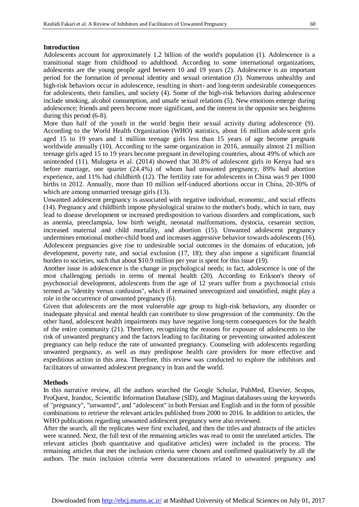#### **Introduction**

Adolescents account for approximately 1.2 billion of the world's population (1). Adolescence is a transitional stage from childhood to adulthood. According to some international organizations, adolescents are the young people aged between 10 and 19 years (2). Adolescence is an important period for the formation of personal identity and sexual orientation (3). Numerous unhealthy and high-risk behaviors occur in adolescence, resulting in short- and long-term undesirable consequences for adolescents, their families, and society (4). Some of the high-risk behaviors during adolescence include smoking, alcohol consumption, and unsafe sexual relations (5). New emotions emerge during adolescence; friends and peers become more significant, and the interest in the opposite sex heightens during this period (6-8).

More than half of the youth in the world begin their sexual activity during adolescence (9). According to the World Health Organization (WHO) statistics, about 16 million adole scent girls aged 15 to 19 years and 1 million teenage girls less than 15 years of age become pregnant worldwide annually (10). According to the same organization in 2016, annually almost 21 million teenage girls aged 15 to 19 years become pregnant in developing countries, about 49% of which are unintended (11). Mulugeta et al. (2014) showed that 30.8% of adolescent girls in Kenya had sex before marriage, one quarter (24.4%) of whom had unwanted pregnancy, 89% had abortion experience, and 11% had childbirth (12). The fertility rate for adolescents in China was 9 per 1000 births in 2012. Annually, more than 10 million self-induced abortions occur in China, 20-30% of which are among unmarried teenage girls  $(13)$ .

Unwanted adolescent pregnancy is associated with negative individual, economic, and social effects (14). Pregnancy and childbirth impose physiological strains to the mother's body, which in turn, may lead to disease development or increased predisposition to various disorders and complications, such as anemia, preeclampsia, low birth weight, neonatal malformations, dystocia, cesarean section, increased maternal and child mortality, and abortion (15). Unwanted adolescent pregnancy undermines emotional mother-child bond and increases aggressive behavior towards adolescents (16). Adolescent pregnancies give rise to undesirable social outcomes in the domains of education, job development, poverty rate, and social exclusion (17, 18); they also impose a significant financial burden to societies, such that about \$10.9 million per year is spent for this issue (19).

Another issue in adolescence is the change in psychological needs; in fact, adolescence is one of the most challenging periods in terms of mental health (20). According to Erikson's theory of psychosocial development, adolescents from the age of 12 years suffer from a psychosocial crisis termed as "identity versus confusion", which if remained unrecognized and unsatisfied, might play a role in the occurrence of unwanted pregnancy (6).

Given that adolescents are the most vulnerable age group to high-risk behaviors, any disorder or inadequate physical and mental health can contribute to slow progression of the community. On the other hand, adolescent health impairments may have negative long-term consequences for the health of the entire community (21). Therefore, recognizing the reasons for exposure of adolescents to the risk of unwanted pregnancy and the factors leading to facilitating or preventing unwanted adolescent pregnancy can help reduce the rate of unwanted pregnancy. Counseling with adolescents regarding unwanted pregnancy, as well as may predispose health care providers for more effective and expeditious action in this area. Therefore, this review was conducted to explore the inhibitors and facilitators of unwanted adolescent pregnancy in Iran and the world.

#### **Methods**

In this narrative review, all the authors searched the Google Scholar, PubMed, Elsevier, Scopus, ProQuest, Irandoc, Scientific Information Database (SID), and Magiran databases using the keywords of "pregnancy", "unwanted", and "adolescent" in both Persian and English and in the form of possible combinations to retrieve the relevant articles published from 2000 to 2016. In addition to articles, the WHO publications regarding unwanted adolescent pregnancy were also reviewed.

After the search, all the replicates were first excluded, and then the titles and abstracts of the articles were scanned. Next, the full text of the remaining articles was read to omit the unrelated articles. The relevant articles (both quantitative and qualitative articles) were included in the process. The remaining articles that met the inclusion criteria were chosen and confirmed qualitatively by all the authors. The main inclusion criteria were documentations related to unwanted pregnancy and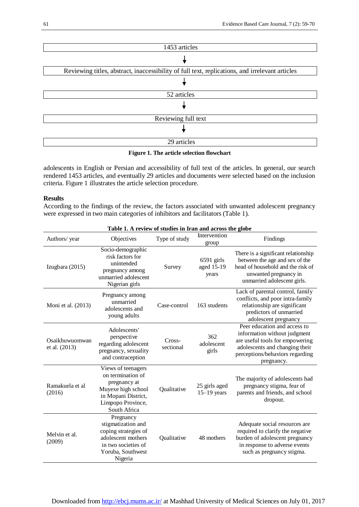

**Figure 1. The article selection flowchart**

adolescents in English or Persian and accessibility of full text of the articles. In general, our search rendered 1453 articles, and eventually 29 articles and documents were selected based on the inclusion criteria. Figure 1 illustrates the article selection procedure.

## **Results**

According to the findings of the review, the factors associated with unwanted adolescent pregnancy were expressed in two main categories of inhibitors and facilitators (Table 1).

| Table 1. A review of studies in Iran and across the globe |                                                                                                                                           |                     |                                     |                                                                                                                                                                                    |
|-----------------------------------------------------------|-------------------------------------------------------------------------------------------------------------------------------------------|---------------------|-------------------------------------|------------------------------------------------------------------------------------------------------------------------------------------------------------------------------------|
| Authors/year                                              | Objectives                                                                                                                                | Type of study       | Intervention<br>group               | Findings                                                                                                                                                                           |
| Izugbara (2015)                                           | Socio-demographic<br>risk factors for<br>unintended<br>pregnancy among<br>unmarried adolescent<br>Nigerian girls                          | Survey              | $6591$ girls<br>aged 15-19<br>years | There is a significant relationship<br>between the age and sex of the<br>head of household and the risk of<br>unwanted pregnancy in<br>unmarried adolescent girls.                 |
| Moni et al. (2013)                                        | Pregnancy among<br>unmarried<br>adolescents and<br>young adults                                                                           | Case-control        | 163 students                        | Lack of parental control, family<br>conflicts, and poor intra-family<br>relationship are significant<br>predictors of unmarried<br>adolescent pregnancy                            |
| Osaikhuwuomwan<br>et al. (2013)                           | Adolescents'<br>perspective<br>regarding adolescent<br>pregnancy, sexuality<br>and contraception                                          | Cross-<br>sectional | 362<br>adolescent<br>girls          | Peer education and access to<br>information without judgment<br>are useful tools for empowering<br>adolescents and changing their<br>perceptions/behaviors regarding<br>pregnancy. |
| Ramakuela et al<br>(2016)                                 | Views of teenagers<br>on termination of<br>pregnancy at<br>Muyexe high school<br>in Mopani District,<br>Limpopo Province,<br>South Africa | Qualitative         | 25 girls aged<br>$15-19$ years      | The majority of adolescents had<br>pregnancy stigma, fear of<br>parents and friends, and school<br>dropout.                                                                        |
| Melvin et al.<br>(2009)                                   | Pregnancy<br>stigmatization and<br>coping strategies of<br>adolescent mothers<br>in two societies of<br>Yoruba, Southwest<br>Nigeria      | Qualitative         | 48 mothers                          | Adequate social resources are<br>required to clarify the negative<br>burden of adolescent pregnancy<br>in response to adverse events<br>such as pregnancy stigma.                  |

Downloaded fro[m http://ebcj.mums.ac.ir/](http://ebcj.mums.ac.ir/) at Mashhad University of Medical Sciences on July 01, 2017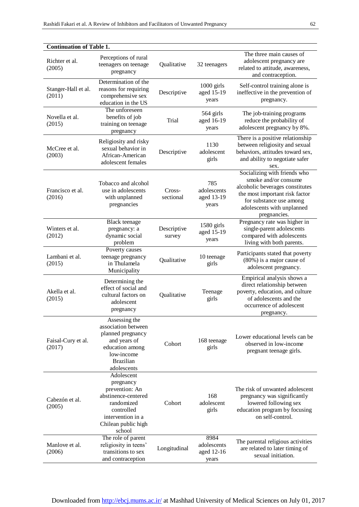| <b>Continuation of Table 1.</b> |                                                                                                                                                    |                       |                                            |                                                                                                                                                                                                    |  |
|---------------------------------|----------------------------------------------------------------------------------------------------------------------------------------------------|-----------------------|--------------------------------------------|----------------------------------------------------------------------------------------------------------------------------------------------------------------------------------------------------|--|
| Richter et al.<br>(2005)        | Perceptions of rural<br>teenagers on teenage<br>pregnancy                                                                                          | Qualitative           | 32 teenagers                               | The three main causes of<br>adolescent pregnancy are<br>related to attitude, awareness,<br>and contraception.                                                                                      |  |
| Stanger-Hall et al.<br>(2011)   | Determination of the<br>reasons for requiring<br>comprehensive sex<br>education in the US                                                          | Descriptive           | 1000 girls<br>aged 15-19<br>years          | Self-control training alone is<br>ineffective in the prevention of<br>pregnancy.                                                                                                                   |  |
| Novella et al.<br>(2015)        | The unforeseen<br>benefits of job<br>training on teenage<br>pregnancy                                                                              | Trial                 | 564 girls<br>aged 16-19<br>years           | The job-training programs<br>reduce the probability of<br>adolescent pregnancy by 8%.                                                                                                              |  |
| McCree et al.<br>(2003)         | Religiosity and risky<br>sexual behavior in<br>African-American<br>adolescent females                                                              | Descriptive           | 1130<br>adolescent<br>girls                | There is a positive relationship<br>between religiosity and sexual<br>behaviors, attitudes toward sex,<br>and ability to negotiate safer<br>sex.                                                   |  |
| Francisco et al.<br>(2016)      | Tobacco and alcohol<br>use in adolescents<br>with unplanned<br>pregnancies                                                                         | Cross-<br>sectional   | 785<br>adolescents<br>aged 13-19<br>years  | Socializing with friends who<br>smoke and/or consume<br>alcoholic beverages constitutes<br>the most important risk factor<br>for substance use among<br>adolescents with unplanned<br>pregnancies. |  |
| Winters et al.<br>(2012)        | <b>Black</b> teenage<br>pregnancy: a<br>dynamic social<br>problem                                                                                  | Descriptive<br>survey | 1580 girls<br>aged 15-19<br>years          | Pregnancy rate was higher in<br>single-parent adolescents<br>compared with adolescents<br>living with both parents.                                                                                |  |
| Lambani et al.<br>(2015)        | Poverty causes<br>teenage pregnancy<br>in Thulamela<br>Municipality                                                                                | Qualitative           | 10 teenage<br>girls                        | Participants stated that poverty<br>$(80\%)$ is a major cause of<br>adolescent pregnancy.                                                                                                          |  |
| Akella et al.<br>(2015)         | Determining the<br>effect of social and<br>cultural factors on<br>adolescent<br>pregnancy                                                          | Qualitative           | Teenage<br>girls                           | Empirical analysis shows a<br>direct relationship between<br>poverty, education, and culture<br>of adolescents and the<br>occurrence of adolescent<br>pregnancy.                                   |  |
| Faisal-Cury et al.<br>(2017)    | Assessing the<br>association between<br>planned pregnancy<br>and years of<br>education among<br>low-income<br><b>Brazilian</b><br>adolescents      | Cohort                | 168 teenage<br>girls                       | Lower educational levels can be<br>observed in low-income<br>pregnant teenage girls.                                                                                                               |  |
| Cabezón et al.<br>(2005)        | Adolescent<br>pregnancy<br>prevention: An<br>abstinence-centered<br>randomized<br>controlled<br>intervention in a<br>Chilean public high<br>school | Cohort                | 168<br>adolescent<br>girls                 | The risk of unwanted adolescent<br>pregnancy was significantly<br>lowered following sex<br>education program by focusing<br>on self-control.                                                       |  |
| Manlove et al.<br>(2006)        | The role of parent<br>religiosity in teens'<br>transitions to sex<br>and contraception                                                             | Longitudinal          | 8984<br>adolescents<br>aged 12-16<br>years | The parental religious activities<br>are related to later timing of<br>sexual initiation.                                                                                                          |  |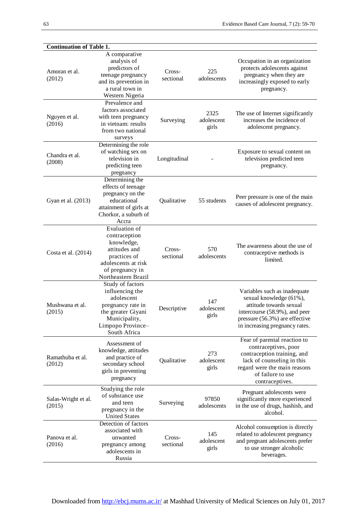| <b>Continuation of Table 1.</b> |                                                                                                                                                    |                     |                             |                                                                                                                                                                                           |  |
|---------------------------------|----------------------------------------------------------------------------------------------------------------------------------------------------|---------------------|-----------------------------|-------------------------------------------------------------------------------------------------------------------------------------------------------------------------------------------|--|
| Amoran et al.<br>(2012)         | A comparative<br>analysis of<br>predictors of<br>teenage pregnancy<br>and its prevention in<br>a rural town in<br>Western Nigeria                  | Cross-<br>sectional | 225<br>adolescents          | Occupation in an organization<br>protects adolescents against<br>pregnancy when they are<br>increasingly exposed to early<br>pregnancy.                                                   |  |
| Nguyen et al.<br>(2016)         | Prevalence and<br>factors associated<br>with teen pregnancy<br>in vietnam: results<br>from two national<br>surveys                                 | Surveying           | 2325<br>adolescent<br>girls | The use of Internet significantly<br>increases the incidence of<br>adolescent pregnancy.                                                                                                  |  |
| Chandra et al.<br>(2008)        | Determining the role<br>of watching sex on<br>television in<br>predicting teen<br>pregnancy                                                        | Longitudinal        |                             | Exposure to sexual content on<br>television predicted teen<br>pregnancy.                                                                                                                  |  |
| Gyan et al. (2013)              | Determining the<br>effects of teenage<br>pregnancy on the<br>educational<br>attainment of girls at<br>Chorkor, a suburb of<br>Accra                | Qualitative         | 55 students                 | Peer pressure is one of the main<br>causes of adolescent pregnancy.                                                                                                                       |  |
| Costa et al. (2014)             | Evaluation of<br>contraception<br>knowledge,<br>attitudes and<br>practices of<br>adolescents at risk<br>of pregnancy in<br>Northeastern Brazil     | Cross-<br>sectional | 570<br>adolescents          | The awareness about the use of<br>contraceptive methods is<br>limited.                                                                                                                    |  |
| Mushwana et al.<br>(2015)       | Study of factors<br>influencing the<br>adolescent<br>pregnancy rate in<br>the greater Giyani<br>Municipality,<br>Limpopo Province-<br>South Africa | Descriptive         | 147<br>adolescent<br>girls  | Variables such as inadequate<br>sexual knowledge (61%),<br>attitude towards sexual<br>intercourse (58.9%), and peer<br>pressure (56.3%) are effective<br>in increasing pregnancy rates.   |  |
| Ramathuba et al.<br>(2012)      | Assessment of<br>knowledge, attitudes<br>and practice of<br>secondary school<br>girls in preventing<br>pregnancy                                   | Qualitative         | 273<br>adolescent<br>girls  | Fear of parental reaction to<br>contraceptives, poor<br>contraception training, and<br>lack of counseling in this<br>regard were the main reasons<br>of failure to use<br>contraceptives. |  |
| Salas-Wright et al.<br>(2015)   | Studying the role<br>of substance use<br>and teen<br>pregnancy in the<br><b>United States</b>                                                      | Surveying           | 97850<br>adolescents        | Pregnant adolescents were<br>significantly more experienced<br>in the use of drugs, hashish, and<br>alcohol.                                                                              |  |
| Panova et al.<br>(2016)         | Detection of factors<br>associated with<br>unwanted<br>pregnancy among<br>adolescents in<br>Russia                                                 | Cross-<br>sectional | 145<br>adolescent<br>girls  | Alcohol consumption is directly<br>related to adolescent pregnancy<br>and pregnant adolescents prefer<br>to use stronger alcoholic<br>beverages.                                          |  |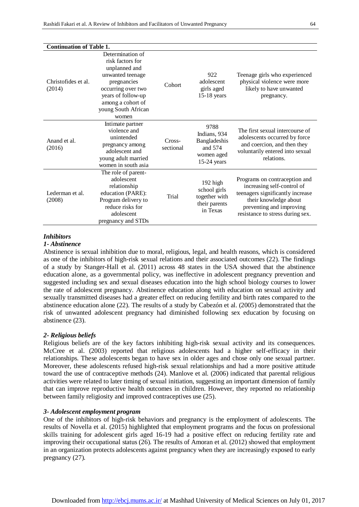| <b>Continuation of Table 1.</b> |                                                                                                                                                                                           |                     |                                                                                |                                                                                                                                                                                          |
|---------------------------------|-------------------------------------------------------------------------------------------------------------------------------------------------------------------------------------------|---------------------|--------------------------------------------------------------------------------|------------------------------------------------------------------------------------------------------------------------------------------------------------------------------------------|
| Christofides et al.<br>(2014)   | Determination of<br>risk factors for<br>unplanned and<br>unwanted teenage<br>pregnancies<br>occurring over two<br>years of follow-up<br>among a cohort of<br>young South African<br>women | Cohort              | 922<br>adolescent<br>girls aged<br>$15-18$ years                               | Teenage girls who experienced<br>physical violence were more<br>likely to have unwanted<br>pregnancy.                                                                                    |
| Anand et al.<br>(2016)          | Intimate partner<br>violence and<br>unintended<br>pregnancy among<br>adolescent and<br>young adult married<br>women in south asia                                                         | Cross-<br>sectional | 9788<br>Indians, 934<br>Bangladeshis<br>and 574<br>women aged<br>$15-24$ years | The first sexual intercourse of<br>adolescents occurred by force<br>and coercion, and then they<br>voluntarily entered into sexual<br>relations.                                         |
| Lederman et al.<br>(2008)       | The role of parent-<br>adolescent<br>relationship<br>education (PARE):<br>Program delivery to<br>reduce risks for<br>adolescent<br>pregnancy and STDs                                     | Trial               | $192$ high<br>school girls<br>together with<br>their parents<br>in Texas       | Programs on contraception and<br>increasing self-control of<br>teenagers significantly increase<br>their knowledge about<br>preventing and improving<br>resistance to stress during sex. |

# *Inhibitors*

#### *1- Abstinence*

Abstinence is sexual inhibition due to moral, religious, legal, and health reasons, which is considered as one of the inhibitors of high-risk sexual relations and their associated outcomes (22). The findings of a study by Stanger-Hall et al. (2011) across 48 states in the USA showed that the abstinence education alone, as a governmental policy, was ineffective in adolescent pregnancy prevention and suggested including sex and sexual diseases education into the high school biology courses to lower the rate of adolescent pregnancy. Abstinence education along with education on sexual activity and sexually transmitted diseases had a greater effect on reducing fertility and birth rates compared to the abstinence education alone (22). The results of a study by Cabezón et al. (2005) demonstrated that the risk of unwanted adolescent pregnancy had diminished following sex education by focusing on abstinence (23).

# *2- Religious beliefs*

Religious beliefs are of the key factors inhibiting high-risk sexual activity and its consequences. McCree et al. (2003) reported that religious adolescents had a higher self-efficacy in their relationships. These adolescents began to have sex in older ages and chose only one sexual partner. Moreover, these adolescents refused high-risk sexual relationships and had a more positive attitude toward the use of contraceptive methods (24). Manlove et al. (2006) indicated that parental religious activities were related to later timing of sexual initiation, suggesting an important dimension of family that can improve reproductive health outcomes in children. However, they reported no relationship between family religiosity and improved contraceptives use (25).

#### *3- Adolescent employment program*

One of the inhibitors of high-risk behaviors and pregnancy is the employment of adolescents. The results of Novella et al. (2015) highlighted that employment programs and the focus on professional skills training for adolescent girls aged 16-19 had a positive effect on reducing fertility rate and improving their occupational status (26). The results of Amoran et al. (2012) showed that employment in an organization protects adolescents against pregnancy when they are increasingly exposed to early pregnancy (27).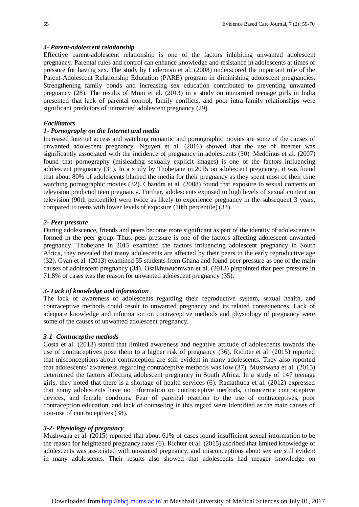#### *4- Parent-adolescent relationship*

Effective parent-adolescent relationship is one of the factors inhibiting unwanted adolescent pregnancy. Parental rules and control can enhance knowledge and resistance in adolescents at times of pressure for having sex. The study by Lederman et al. (2008) underscored the important role of the Parent-Adolescent Relationship Education (PARE) program in diminishing adolescent pregnancies. Strengthening family bonds and increasing sex education contributed to preventing unwanted pregnancy (28). The results of Moni et al. (2013) in a study on unmarried teenage girls in India presented that lack of parental control, family conflicts, and poor intra-family relationships were significant predictors of unmarried adolescent pregnancy (29).

#### *Facilitators*

#### *1- Pornography on the Internet and media*

Increased Internet access and watching romantic and pornographic movies are some of the causes of unwanted adolescent pregnancy. Nguyen et al. (2016) showed that the use of Internet was significantly associated with the incidence of pregnancy in adolescents (30). Meddinus et al. (2007) found that pornography (misleading sexually explicit images) is one of the factors influencing adolescent pregnancy (31). In a study by Thobejane in 2015 on adolescent pregnancy, it was found that about 80% of adolescents blamed the media for their pregnancy as they spent most of their time watching pornographic movies (32). Chandra et al. (2008) found that exposure to sexual contents on television predicted teen pregnancy. Further, adolescents exposed to high levels of sexual content on television (90th percentile) were twice as likely to experience pregnancy in the subsequent 3 years, compared to teens with lower levels of exposure (10th percentile) (33).

#### *2- Peer pressure*

During adolescence, friends and peers become more significant as part of the identity of adolescents is formed in the peer group. Thus, peer pressure is one of the factors affecting adolescent unwanted pregnancy. Thobejane in 2015 examined the factors influencing adolescent pregnancy in South Africa, they revealed that many adolescents are affected by their peers in the early reproductive age (32). Gyan et al. (2013) examined 55 students from Ghana and found peer pressure as one of the main causes of adolescent pregnancy (34). Osaikhuwuomwan et al. (2013) pinpointed that peer pressure in 71.8% of cases was the reason for unwanted adolescent pregnancy (35).

#### *3- Lack of knowledge and information*

The lack of awareness of adolescents regarding their reproductive system, sexual health, and contraceptive methods could result in unwanted pregnancy and its related consequences. Lack of adequate knowledge and information on contraceptive methods and physiology of pregnancy were some of the causes of unwanted adolescent pregnancy.

#### *3-1- Contraceptive methods*

Costa et al. (2013) stated that limited awareness and negative attitude of adolescents towards the use of contraceptives pose them to a higher risk of pregnancy (36). Richter et al. (2015) reported that misconceptions about contraception are still evident in many adolescents. They also reported that adolescents' awareness regarding contraceptive methods was low (37). Mushwana et al. (2015) determined the factors affecting adolescent pregnancy in South Africa. In a study of 147 teenage girls, they noted that there is a shortage of health services (6). Ramathuba et al. (2012) expressed that many adolescents have no information on contraceptive methods, intrauterine contraceptive devices, and female condoms. Fear of parental reaction to the use of contraceptives, poor contraception education, and lack of counseling in this regard were identified as the main causes of non-use of contraceptives (38).

#### *3-2- Physiology of pregnancy*

Mushwana et al. (2015) reported that about 61% of cases found insufficient sexual information to be the reason for heightened pregnancy rates (6). Richter et al. (2015) ascribed that limited knowledge of adolescents was associated with unwanted pregnancy, and misconceptions about sex are still evident in many adolescents. Their results also showed that adolescents had meager knowledge on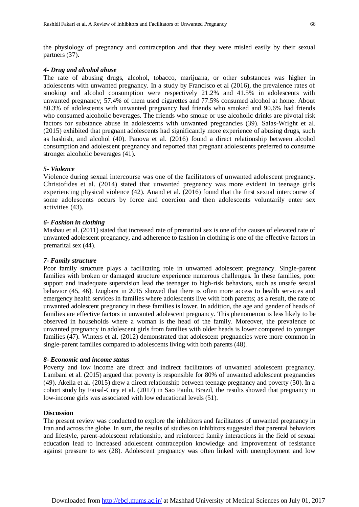the physiology of pregnancy and contraception and that they were misled easily by their sexual partners (37).

#### *4- Drug and alcohol abuse*

The rate of abusing drugs, alcohol, tobacco, marijuana, or other substances was higher in adolescents with unwanted pregnancy. In a study by Francisco et al (2016), the prevalence rates of smoking and alcohol consumption were respectively 21.2% and 41.5% in adolescents with unwanted pregnancy; 57.4% of them used cigarettes and 77.5% consumed alcohol at home. About 80.3% of adolescents with unwanted pregnancy had friends who smoked and 90.6% had friends who consumed alcoholic beverages. The friends who smoke or use alcoholic drinks are pivotal risk factors for substance abuse in adolescents with unwanted pregnancies (39). Salas-Wright et al. (2015) exhibited that pregnant adolescents had significantly more experience of abusing drugs, such as hashish, and alcohol (40). Panova et al. (2016) found a direct relationship between alcohol consumption and adolescent pregnancy and reported that pregnant adolescents preferred to consume stronger alcoholic beverages (41).

#### *5- Violence*

Violence during sexual intercourse was one of the facilitators of unwanted adolescent pregnancy. Christofides et al. (2014) stated that unwanted pregnancy was more evident in teenage girls experiencing physical violence (42). Anand et al. (2016) found that the first sexual intercourse of some adolescents occurs by force and coercion and then adolescents voluntarily enter sex activities (43).

#### *6- Fashion in clothing*

Mashau et al. (2011) stated that increased rate of premarital sex is one of the causes of elevated rate of unwanted adolescent pregnancy, and adherence to fashion in clothing is one of the effective factors in premarital sex (44).

## *7- Family structure*

Poor family structure plays a facilitating role in unwanted adolescent pregnancy. Single-parent families with broken or damaged structure experience numerous challenges. In these families, poor support and inadequate supervision lead the teenager to high-risk behaviors, such as unsafe sexual behavior (45, 46). Izugbara in 2015 showed that there is often more access to health services and emergency health services in families where adolescents live with both parents; as a result, the rate of unwanted adolescent pregnancy in these families is lower. In addition, the age and gender of heads of families are effective factors in unwanted adolescent pregnancy. This phenomenon is less likely to be observed in households where a woman is the head of the family. Moreover, the prevalence of unwanted pregnancy in adolescent girls from families with older heads is lower compared to younger families (47). Winters et al. (2012) demonstrated that adolescent pregnancies were more common in single-parent families compared to adolescents living with both parents (48).

#### *8- Economic and income status*

Poverty and low income are direct and indirect facilitators of unwanted adolescent pregnancy. Lambani et al. (2015) argued that poverty is responsible for 80% of unwanted adolescent pregnancies (49). Akella et al. (2015) drew a direct relationship between teenage pregnancy and poverty (50). In a cohort study by Faisal-Cury et al. (2017) in Sao Paulo, Brazil, the results showed that pregnancy in low-income girls was associated with low educational levels (51).

### **Discussion**

The present review was conducted to explore the inhibitors and facilitators of unwanted pregnancy in Iran and across the globe. In sum, the results of studies on inhibitors suggested that parental behaviors and lifestyle, parent-adolescent relationship, and reinforced family interactions in the field of sexual education lead to increased adolescent contraception knowledge and improvement of resistance against pressure to sex (28). Adolescent pregnancy was often linked with unemployment and low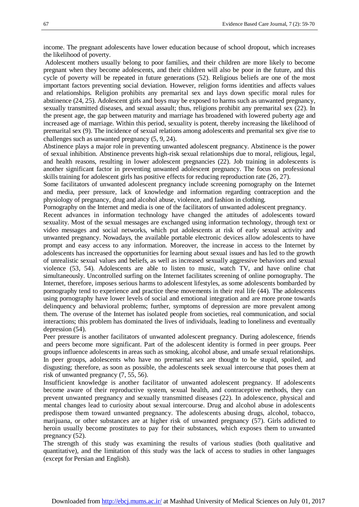income. The pregnant adolescents have lower education because of school dropout, which increases the likelihood of poverty.

Adolescent mothers usually belong to poor families, and their children are more likely to become pregnant when they become adolescents, and their children will also be poor in the future, and this cycle of poverty will be repeated in future generations (52). Religious beliefs are one of the most important factors preventing social deviation. However, religion forms identities and affects values and relationships. Religion prohibits any premarital sex and lays down specific moral rules for abstinence (24, 25). Adolescent girls and boys may be exposed to harms such as unwanted pregnancy, sexually transmitted diseases, and sexual assault; thus, religions prohibit any premarital sex (22). In the present age, the gap between maturity and marriage has broadened with lowered puberty age and increased age of marriage. Within this period, sexuality is potent, thereby increasing the likelihood of premarital sex (9). The incidence of sexual relations among adolescents and premarital sex give rise to challenges such as unwanted pregnancy (5, 9, 24).

Abstinence plays a major role in preventing unwanted adolescent pregnancy. Abstinence is the power of sexual inhibition. Abstinence prevents high-risk sexual relationships due to moral, religious, legal, and health reasons, resulting in lower adolescent pregnancies (22). Job training in adolescents is another significant factor in preventing unwanted adolescent pregnancy. The focus on professional skills training for adolescent girls has positive effects for reducing reproduction rate (26, 27).

Some facilitators of unwanted adolescent pregnancy include screening pornography on the Internet and media, peer pressure, lack of knowledge and information regarding contraception and the physiology of pregnancy, drug and alcohol abuse, violence, and fashion in clothing.

Pornography on the Internet and media is one of the facilitators of unwanted adolescent pregnancy.

Recent advances in information technology have changed the attitudes of adolescents toward sexuality. Most of the sexual messages are exchanged using information technology, through text or video messages and social networks, which put adolescents at risk of early sexual activity and unwanted pregnancy. Nowadays, the available portable electronic devices allow adolescents to have prompt and easy access to any information. Moreover, the increase in access to the Internet by adolescents has increased the opportunities for learning about sexual issues and has led to the growth of unrealistic sexual values and beliefs, as well as increased sexually aggressive behaviors and sexual violence (53, 54). Adolescents are able to listen to music, watch TV, and have online chat simultaneously. Uncontrolled surfing on the Internet facilitates screening of online pornography. The Internet, therefore, imposes serious harms to adolescent lifestyles, as some adolescents bombarded by pornography tend to experience and practice these movements in their real life (44). The adolescents using pornography have lower levels of social and emotional integration and are more prone towards delinquency and behavioral problems; further, symptoms of depression are more prevalent among them. The overuse of the Internet has isolated people from societies, real communication, and social interactions; this problem has dominated the lives of individuals, leading to loneliness and eventually depression (54).

Peer pressure is another facilitators of unwanted adolescent pregnancy. During adolescence, friends and peers become more significant. Part of the adolescent identity is formed in peer groups. Peer groups influence adolescents in areas such as smoking, alcohol abuse, and unsafe sexual relationships. In peer groups, adolescents who have no premarital sex are thought to be stupid, spoiled, and disgusting; therefore, as soon as possible, the adolescents seek sexual intercourse that poses them at risk of unwanted pregnancy (7, 55, 56).

Insufficient knowledge is another facilitator of unwanted adolescent pregnancy. If adolescents become aware of their reproductive system, sexual health, and contraceptive methods, they can prevent unwanted pregnancy and sexually transmitted diseases (22). In adolescence, physical and mental changes lead to curiosity about sexual intercourse. Drug and alcohol abuse in adolescents predispose them toward unwanted pregnancy. The adolescents abusing drugs, alcohol, tobacco, marijuana, or other substances are at higher risk of unwanted pregnancy (57). Girls addicted to heroin usually become prostitutes to pay for their substances, which exposes them to unwanted pregnancy (52).

The strength of this study was examining the results of various studies (both qualitative and quantitative), and the limitation of this study was the lack of access to studies in other languages (except for Persian and English).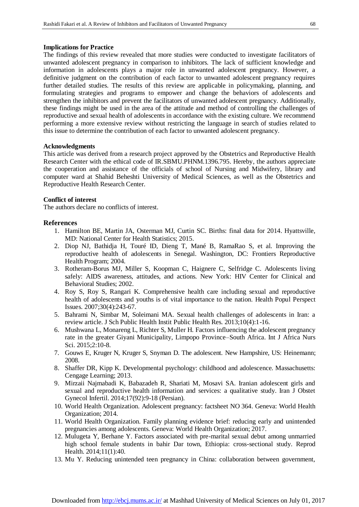#### **Implications for Practice**

The findings of this review revealed that more studies were conducted to investigate facilitators of unwanted adolescent pregnancy in comparison to inhibitors. The lack of sufficient knowledge and information in adolescents plays a major role in unwanted adolescent pregnancy. However, a definitive judgment on the contribution of each factor to unwanted adolescent pregnancy requires further detailed studies. The results of this review are applicable in policymaking, planning, and formulating strategies and programs to empower and change the behaviors of adolescents and strengthen the inhibitors and prevent the facilitators of unwanted adolescent pregnancy. Additionally, these findings might be used in the area of the attitude and method of controlling the challenges of reproductive and sexual health of adolescents in accordance with the existing culture. We recommend performing a more extensive review without restricting the language in search of studies related to this issue to determine the contribution of each factor to unwanted adolescent pregnancy.

#### **Acknowledgments**

This article was derived from a research project approved by the Obstetrics and Reproductive Health Research Center with the ethical code of IR.SBMU.PHNM.1396.795. Hereby, the authors appreciate the cooperation and assistance of the officials of school of Nursing and Midwifery, library and computer ward at Shahid Beheshti University of Medical Sciences, as well as the Obstetrics and Reproductive Health Research Center.

#### **Conflict of interest**

The authors declare no conflicts of interest.

#### **References**

- 1. Hamilton BE, Martin JA, Osterman MJ, Curtin SC. Births: final data for 2014. Hyattsville, MD: National Center for Health Statistics; 2015.
- 2. Diop NJ, Bathidja H, Touré ID, Dieng T, Mané B, RamaRao S, et al. Improving the reproductive health of adolescents in Senegal. Washington, DC: Frontiers Reproductive Health Program; 2004.
- 3. Rotheram-Borus MJ, Miller S, Koopman C, Haignere C, Selfridge C. Adolescents living safely: AIDS awareness, attitudes, and actions. New York: HIV Center for Clinical and Behavioral Studies; 2002.
- 4. Roy S, Roy S, Rangari K. Comprehensive health care including sexual and reproductive health of adolescents and youths is of vital importance to the nation. Health Popul Perspect Issues. 2007;30(4):243-67.
- 5. Bahrami N, Simbar M, Soleimani MA. Sexual health challenges of adolescents in Iran: a review article. J Sch Public Health Instit Public Health Res. 2013;10(4):1-16.
- 6. Mushwana L, Monareng L, Richter S, Muller H. Factors influencing the adolescent pregnancy rate in the greater Giyani Municipality, Limpopo Province–South Africa. Int J Africa Nurs Sci. 2015;2:10-8.
- 7. Gouws E, Kruger N, Kruger S, Snyman D. The adolescent. [New Hampshire, US:](https://www.google.com/search?q=Portsmouth,+New+Hampshire&stick=H4sIAAAAAAAAAOPgE-LUz9U3SCkxMU5R4gAx85KqCrSMMsqt9JPzc3JSk0sy8_P084vSE_MyqxJBnGKrjNTElMLSxKKS1KJihZz8ZLAwADZ7iOtLAAAA&sa=X&ved=0ahUKEwij1tvh_9rVAhUBUhQKHUn_ANoQmxMIqwEoATAT) Heinemann; 2008.
- 8. Shaffer DR, Kipp K. Developmental psychology: childhood and adolescence. [Massachusetts:](https://www.google.com/search?q=Boston&stick=H4sIAAAAAAAAAOPgE-LSz9U3MM6oSsrOUOIAsQ2TK-K1tLKTrfTzi9IT8zKrEksy8_NQOFYZqYkphaWJRSWpRcUALCGA5kQAAAA&sa=X&ved=0ahUKEwjOtK-FgNvVAhWLvRQKHWLqDkIQmxMIlAEoATAP) Cengage Learning; 2013.
- 9. Mirzaii Najmabadi K, Babazadeh R, Shariati M, Mosavi SA. Iranian adolescent girls and sexual and reproductive health information and services: a qualitative study. Iran J Obstet Gynecol Infertil. 2014;17(92):9-18 (Persian).
- 10. World Health Organization. Adolescent pregnancy: factsheet NO 364. Geneva: World Health Organization; 2014.
- 11. World Health Organization. Family planning evidence brief: reducing early and unintended pregnancies among adolescents. Geneva: World Health Organization; 2017.
- 12. Mulugeta Y, Berhane Y. Factors associated with pre-marital sexual debut among unmarried high school female students in bahir Dar town, Ethiopia: cross-sectional study. Reprod Health. 2014;11(1):40.
- 13. Mu Y. Reducing unintended teen pregnancy in China: collaboration between government,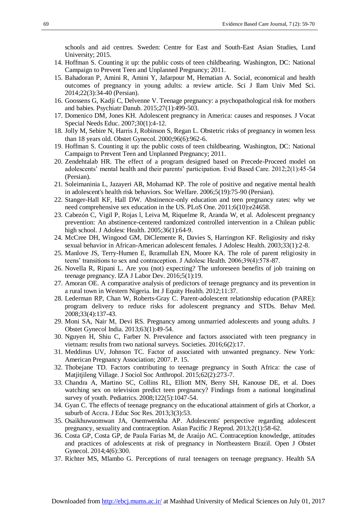schools and aid centres. Sweden: Centre for East and South-East Asian Studies, Lund University; 2015.

- 14. Hoffman S. Counting it up: the public costs of teen childbearing. Washington, DC: National Campaign to Prevent Teen and Unplanned Pregnancy; 2011.
- 15. Bahadoran P, Amini R, Amini Y, Jafarpour M, Hematian A. Social, economical and health outcomes of pregnancy in young adults: a review article. Sci J Ilam Univ Med Sci. 2014;22(3):34-40 (Persian).
- 16. Goossens G, Kadji C, Delvenne V. Teenage pregnancy: a psychopathological risk for mothers and babies. Psychiatr Danub. 2015;27(1):499-503.
- 17. Domenico DM, Jones KH. Adolescent pregnancy in America: causes and responses. J Vocat Special Needs Educ. 2007;30(1):4-12.
- 18. Jolly M, Sebire N, Harris J, Robinson S, Regan L. Obstetric risks of pregnancy in women less than 18 years old. Obstet Gynecol. 2000;96(6):962-6.
- 19. Hoffman S. Counting it up: the public costs of teen childbearing. Washington, DC: National Campaign to Prevent Teen and Unplanned Pregnancy; 2011.
- 20. Zendehtalab HR. The effect of a program designed based on Precede-Proceed model on adolescents' mental health and their parents' participation. Evid Based Care. 2012;2(1):45-54 (Persian).
- 21. Soleimaninia L, Jazayeri AR, Mohamad KP. The role of positive and negative mental health in adolescent's health risk behaviors. Soc Welfare. 2006;5(19):75-90 (Persian).
- 22. Stanger-Hall KF, Hall DW. Abstinence-only education and teen pregnancy rates: why we need comprehensive sex education in the US. PLoS One. 2011;6(10):e24658.
- 23. Cabezón C, Vigil P, Rojas l, Leiva M, Riquelme R, Aranda W, et al. Adolescent pregnancy prevention: An abstinence-centered randomized controlled intervention in a Chilean public high school. J Adolesc Health. 2005;36(1):64-9.
- 24. McCree DH, Wingood GM, DiClemente R, Davies S, Harrington KF. Religiosity and risky sexual behavior in African-American adolescent females. J Adolesc Health. 2003;33(1):2-8.
- 25. Manlove JS, Terry-Humen E, Ikramullah EN, Moore KA. The role of parent religiosity in teens' transitions to sex and contraception. J Adolesc Health. 2006;39(4):578-87.
- 26. Novella R, Ripani L. Are you (not) expecting? The unforeseen benefits of job training on teenage pregnancy. IZA J Labor Dev. 2016;5(1):19.
- 27. Amoran OE. A comparative analysis of predictors of teenage pregnancy and its prevention in a rural town in Western Nigeria. Int J Equity Health. 2012;11:37.
- 28. Lederman RP, Chan W, Roberts-Gray C. Parent-adolescent relationship education (PARE): program delivery to reduce risks for adolescent pregnancy and STDs. Behav Med. 2008;33(4):137-43.
- 29. Moni SA, Nair M, Devi RS. Pregnancy among unmarried adolescents and young adults. J Obstet Gynecol India. 2013;63(1):49-54.
- 30. Nguyen H, Shiu C, Farber N. Prevalence and factors associated with teen pregnancy in vietnam: results from two national surveys. Societies. 2016;6(2):17.
- 31. Meddinus UV, Johnson TC. Factor of associated with unwanted pregnancy. New York: American Pregnancy Association; 2007. P. 15.
- 32. Thobejane TD. Factors contributing to teenage pregnancy in South Africa: the case of Matjitjileng Village. J Sociol Soc Anthropol. 2015;62(2):273-7.
- 33. Chandra A, Martino SC, Collins RL, Elliott MN, Berry SH, Kanouse DE, et al. Does watching sex on television predict teen pregnancy? Findings from a national longitudinal survey of youth. Pediatrics. 2008;122(5):1047-54.
- 34. Gyan C. The effects of teenage pregnancy on the educational attainment of girls at Chorkor, a suburb of Accra. J Educ Soc Res. 2013;3(3):53.
- 35. Osaikhuwuomwan JA, Osemwenkha AP. Adolescents' perspective regarding adolescent pregnancy, sexuality and contraception. Asian Pacific J Reprod. 2013;2(1):58-62.
- 36. Costa GP, Costa GP, de Paula Farias M, de Araújo AC. Contraception knowledge, attitudes and practices of adolescents at risk of pregnancy in Northeastern Brazil. Open J Obstet Gynecol. 2014;4(6):300.
- 37. Richter MS, Mlambo G. Perceptions of rural teenagers on teenage pregnancy. Health SA